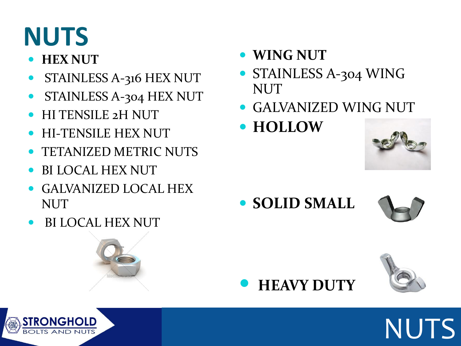# **NUTS**

#### **HEX NUT**

- STAINLESS A-316 HEX NUT
- STAINLESS A-304 HEX NUT
- HI TENSILE 2H NUT
- HI-TENSILE HEX NUT
- TETANIZED METRIC NUTS
- BI LOCAL HEX NUT
- GALVANIZED LOCAL HEX NUT
- BI LOCAL HEX NUT



- **WING NUT**
- STAINLESS A-304 WING NUT
- GALVANIZED WING NUT
- **HOLLOW**



**SOLID SMALL** 







NUTS

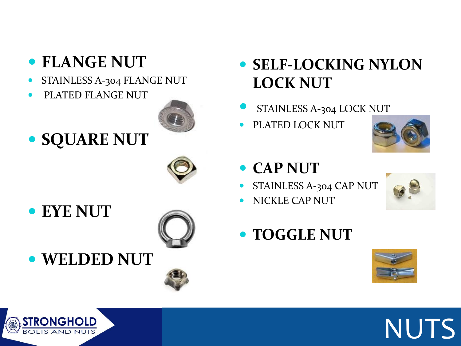## **FLANGE NUT**

- STAINLESS A-304 FLANGE NUT
- PLATED FLANGE NUT



**SQUARE NUT**



**EYE NUT**



**WELDED NUT**



- **SELF-LOCKING NYLON LOCK NUT**
- STAINLESS A-304 LOCK NUT
- PLATED LOCK NUT



- **CAP NUT**
- STAINLESS A-304 CAP NUT
- NICKLE CAP NUT



NUTS

**TOGGLE NUT**

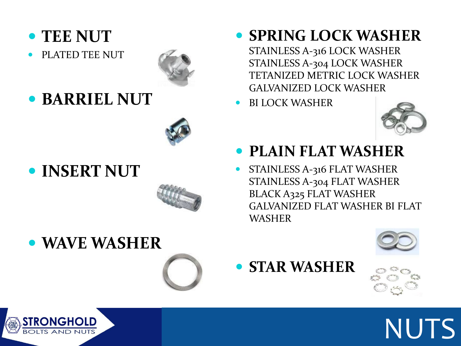#### **TEE NUT**

PLATED TEE NUT



**BARRIEL NUT**



**INSERT NUT**



**SPRING LOCK WASHER**

STAINLESS A-316 LOCK WASHER STAINLESS A-304 LOCK WASHER TETANIZED METRIC LOCK WASHER GALVANIZED LOCK WASHER

BI LOCK WASHER



- **PLAIN FLAT WASHER**
- STAINLESS A-316 FLAT WASHER STAINLESS A-304 FLAT WASHER BLACK A325 FLAT WASHER GALVANIZED FLAT WASHER BI FLAT WASHER





**STAR WASHER**